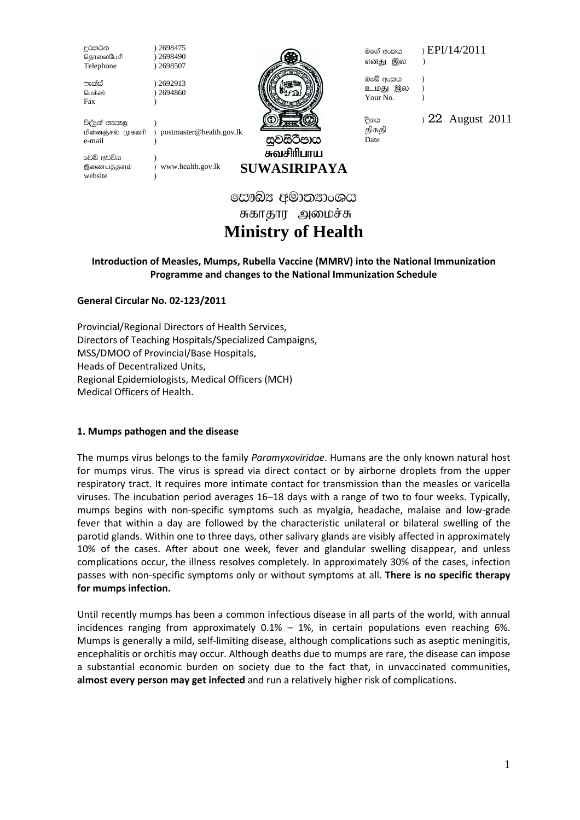දුරකථන ) 2698475<br>தொலைபேசி ) 2698490 தொலைபேசி Telephone ) 2698507

 $mz$ කීස් ) 2692913 பெக்ஸ் ) 2694860 Fax (b)



எனது இல )

මගේ අංකය ) $EPI/14/2011$ 

ඔබේ අංකය ) உமது இல ) Your No. (a)

திகதி Date

 $\frac{22}{1}$  August 2011

විද්පුත් තැපෑල<br>மின்னஞ்சல் முகவரி ) postmaster@health.gov.lk e-mail )

වෙබ් අඩවිය இணையத்தளம் ) www.health.gov.lk website

සවසිටීපාය சுவசிரிபாய **SUWASIRIPAYA** 

සෞඛ $x$  අමාතනාංශය சுகாதார அமைச்சு **Ministry of Health** 

# **Introduction of Measles, Mumps, Rubella Vaccine (MMRV) into the National Immunization Programme and changes to the National Immunization Schedule**

**General Circular No. 02-123/2011** 

Provincial/Regional Directors of Health Services, Directors of Teaching Hospitals/Specialized Campaigns, MSS/DMOO of Provincial/Base Hospitals, Heads of Decentralized Units, Regional Epidemiologists, Medical Officers (MCH) Medical Officers of Health.

## **1. Mumps pathogen and the disease**

The mumps virus belongs to the family *Paramyxoviridae*. Humans are the only known natural host for mumps virus. The virus is spread via direct contact or by airborne droplets from the upper respiratory tract. It requires more intimate contact for transmission than the measles or varicella viruses. The incubation period averages 16–18 days with a range of two to four weeks. Typically, mumps begins with non-specific symptoms such as myalgia, headache, malaise and low-grade fever that within a day are followed by the characteristic unilateral or bilateral swelling of the parotid glands. Within one to three days, other salivary glands are visibly affected in approximately 10% of the cases. After about one week, fever and glandular swelling disappear, and unless complications occur, the illness resolves completely. In approximately 30% of the cases, infection passes with non-specific symptoms only or without symptoms at all. **There is no specific therapy for mumps infection.** 

Until recently mumps has been a common infectious disease in all parts of the world, with annual incidences ranging from approximately  $0.1% - 1%$ , in certain populations even reaching 6%. Mumps is generally a mild, self-limiting disease, although complications such as aseptic meningitis, encephalitis or orchitis may occur. Although deaths due to mumps are rare, the disease can impose a substantial economic burden on society due to the fact that, in unvaccinated communities, **almost every person may get infected** and run a relatively higher risk of complications.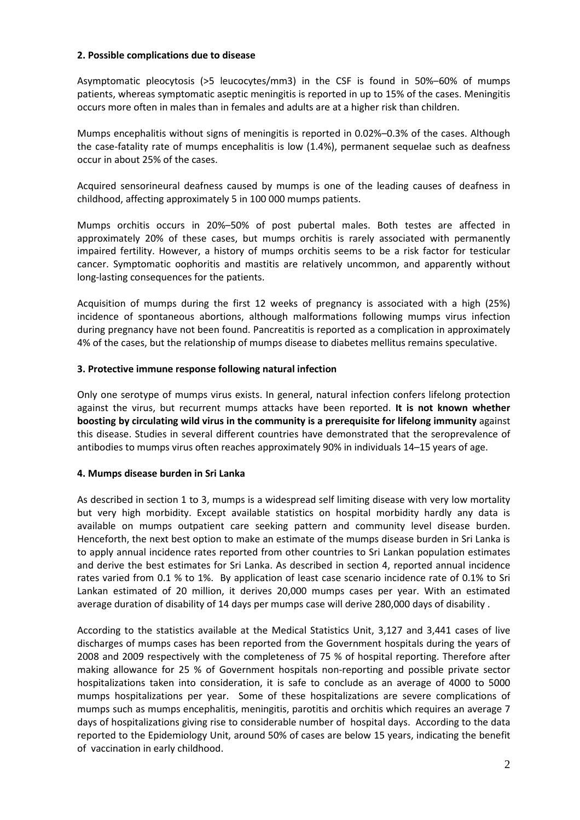#### **2. Possible complications due to disease**

Asymptomatic pleocytosis (>5 leucocytes/mm3) in the CSF is found in 50%–60% of mumps patients, whereas symptomatic aseptic meningitis is reported in up to 15% of the cases. Meningitis occurs more often in males than in females and adults are at a higher risk than children.

Mumps encephalitis without signs of meningitis is reported in 0.02%–0.3% of the cases. Although the case-fatality rate of mumps encephalitis is low (1.4%), permanent sequelae such as deafness occur in about 25% of the cases.

Acquired sensorineural deafness caused by mumps is one of the leading causes of deafness in childhood, affecting approximately 5 in 100 000 mumps patients.

Mumps orchitis occurs in 20%–50% of post pubertal males. Both testes are affected in approximately 20% of these cases, but mumps orchitis is rarely associated with permanently impaired fertility. However, a history of mumps orchitis seems to be a risk factor for testicular cancer. Symptomatic oophoritis and mastitis are relatively uncommon, and apparently without long-lasting consequences for the patients.

Acquisition of mumps during the first 12 weeks of pregnancy is associated with a high (25%) incidence of spontaneous abortions, although malformations following mumps virus infection during pregnancy have not been found. Pancreatitis is reported as a complication in approximately 4% of the cases, but the relationship of mumps disease to diabetes mellitus remains speculative.

#### **3. Protective immune response following natural infection**

Only one serotype of mumps virus exists. In general, natural infection confers lifelong protection against the virus, but recurrent mumps attacks have been reported. **It is not known whether boosting by circulating wild virus in the community is a prerequisite for lifelong immunity** against this disease. Studies in several different countries have demonstrated that the seroprevalence of antibodies to mumps virus often reaches approximately 90% in individuals 14–15 years of age.

#### **4. Mumps disease burden in Sri Lanka**

As described in section 1 to 3, mumps is a widespread self limiting disease with very low mortality but very high morbidity. Except available statistics on hospital morbidity hardly any data is available on mumps outpatient care seeking pattern and community level disease burden. Henceforth, the next best option to make an estimate of the mumps disease burden in Sri Lanka is to apply annual incidence rates reported from other countries to Sri Lankan population estimates and derive the best estimates for Sri Lanka. As described in section 4, reported annual incidence rates varied from 0.1 % to 1%. By application of least case scenario incidence rate of 0.1% to Sri Lankan estimated of 20 million, it derives 20,000 mumps cases per year. With an estimated average duration of disability of 14 days per mumps case will derive 280,000 days of disability .

According to the statistics available at the Medical Statistics Unit, 3,127 and 3,441 cases of live discharges of mumps cases has been reported from the Government hospitals during the years of 2008 and 2009 respectively with the completeness of 75 % of hospital reporting. Therefore after making allowance for 25 % of Government hospitals non-reporting and possible private sector hospitalizations taken into consideration, it is safe to conclude as an average of 4000 to 5000 mumps hospitalizations per year. Some of these hospitalizations are severe complications of mumps such as mumps encephalitis, meningitis, parotitis and orchitis which requires an average 7 days of hospitalizations giving rise to considerable number of hospital days. According to the data reported to the Epidemiology Unit, around 50% of cases are below 15 years, indicating the benefit of vaccination in early childhood.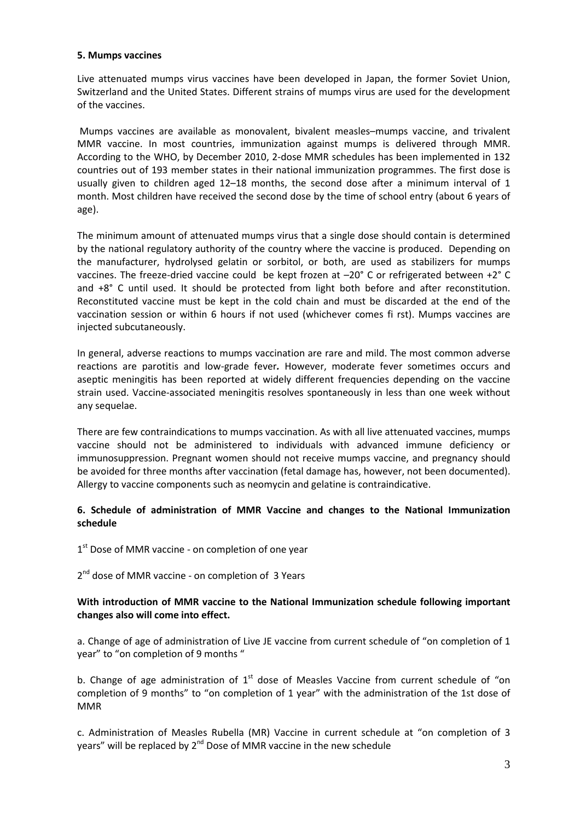#### **5. Mumps vaccines**

Live attenuated mumps virus vaccines have been developed in Japan, the former Soviet Union, Switzerland and the United States. Different strains of mumps virus are used for the development of the vaccines.

 Mumps vaccines are available as monovalent, bivalent measles–mumps vaccine, and trivalent MMR vaccine. In most countries, immunization against mumps is delivered through MMR. According to the WHO, by December 2010, 2-dose MMR schedules has been implemented in 132 countries out of 193 member states in their national immunization programmes. The first dose is usually given to children aged 12–18 months, the second dose after a minimum interval of 1 month. Most children have received the second dose by the time of school entry (about 6 years of age).

The minimum amount of attenuated mumps virus that a single dose should contain is determined by the national regulatory authority of the country where the vaccine is produced. Depending on the manufacturer, hydrolysed gelatin or sorbitol, or both, are used as stabilizers for mumps vaccines. The freeze-dried vaccine could be kept frozen at –20° C or refrigerated between +2° C and +8° C until used. It should be protected from light both before and after reconstitution. Reconstituted vaccine must be kept in the cold chain and must be discarded at the end of the vaccination session or within 6 hours if not used (whichever comes fi rst). Mumps vaccines are injected subcutaneously.

In general, adverse reactions to mumps vaccination are rare and mild. The most common adverse reactions are parotitis and low-grade fever*.* However, moderate fever sometimes occurs and aseptic meningitis has been reported at widely different frequencies depending on the vaccine strain used. Vaccine-associated meningitis resolves spontaneously in less than one week without any sequelae.

There are few contraindications to mumps vaccination. As with all live attenuated vaccines, mumps vaccine should not be administered to individuals with advanced immune deficiency or immunosuppression. Pregnant women should not receive mumps vaccine, and pregnancy should be avoided for three months after vaccination (fetal damage has, however, not been documented). Allergy to vaccine components such as neomycin and gelatine is contraindicative.

## **6. Schedule of administration of MMR Vaccine and changes to the National Immunization schedule**

1<sup>st</sup> Dose of MMR vaccine - on completion of one year

2<sup>nd</sup> dose of MMR vaccine - on completion of 3 Years

## **With introduction of MMR vaccine to the National Immunization schedule following important changes also will come into effect.**

a. Change of age of administration of Live JE vaccine from current schedule of "on completion of 1 year" to "on completion of 9 months "

b. Change of age administration of  $1<sup>st</sup>$  dose of Measles Vaccine from current schedule of "on completion of 9 months" to "on completion of 1 year" with the administration of the 1st dose of MMR

c. Administration of Measles Rubella (MR) Vaccine in current schedule at "on completion of 3 years" will be replaced by  $2^{nd}$  Dose of MMR vaccine in the new schedule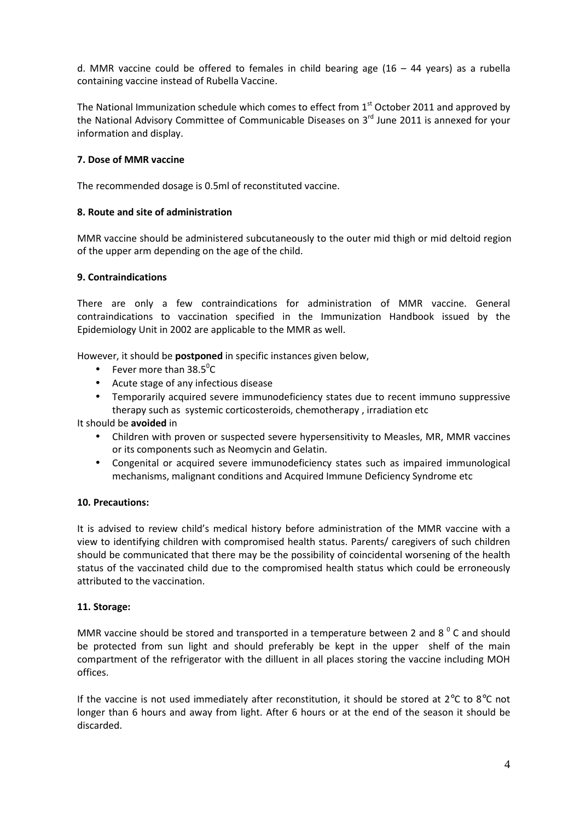d. MMR vaccine could be offered to females in child bearing age  $(16 - 44 \text{ years})$  as a rubella containing vaccine instead of Rubella Vaccine.

The National Immunization schedule which comes to effect from  $1<sup>st</sup>$  October 2011 and approved by the National Advisory Committee of Communicable Diseases on 3<sup>rd</sup> June 2011 is annexed for your information and display.

## **7. Dose of MMR vaccine**

The recommended dosage is 0.5ml of reconstituted vaccine.

## **8. Route and site of administration**

MMR vaccine should be administered subcutaneously to the outer mid thigh or mid deltoid region of the upper arm depending on the age of the child.

## **9. Contraindications**

There are only a few contraindications for administration of MMR vaccine. General contraindications to vaccination specified in the Immunization Handbook issued by the Epidemiology Unit in 2002 are applicable to the MMR as well.

However, it should be **postponed** in specific instances given below,

- Fever more than  $38.5^{\circ}$ C
- Acute stage of any infectious disease
- Temporarily acquired severe immunodeficiency states due to recent immuno suppressive therapy such as systemic corticosteroids, chemotherapy , irradiation etc

It should be **avoided** in

- Children with proven or suspected severe hypersensitivity to Measles, MR, MMR vaccines or its components such as Neomycin and Gelatin.
- Congenital or acquired severe immunodeficiency states such as impaired immunological mechanisms, malignant conditions and Acquired Immune Deficiency Syndrome etc

#### **10. Precautions:**

It is advised to review child's medical history before administration of the MMR vaccine with a view to identifying children with compromised health status. Parents/ caregivers of such children should be communicated that there may be the possibility of coincidental worsening of the health status of the vaccinated child due to the compromised health status which could be erroneously attributed to the vaccination.

## **11. Storage:**

MMR vaccine should be stored and transported in a temperature between 2 and 8  $^{\circ}$  C and should be protected from sun light and should preferably be kept in the upper shelf of the main compartment of the refrigerator with the dilluent in all places storing the vaccine including MOH offices.

If the vaccine is not used immediately after reconstitution, it should be stored at  $2^{\circ}$ C to  $8^{\circ}$ C not longer than 6 hours and away from light. After 6 hours or at the end of the season it should be discarded.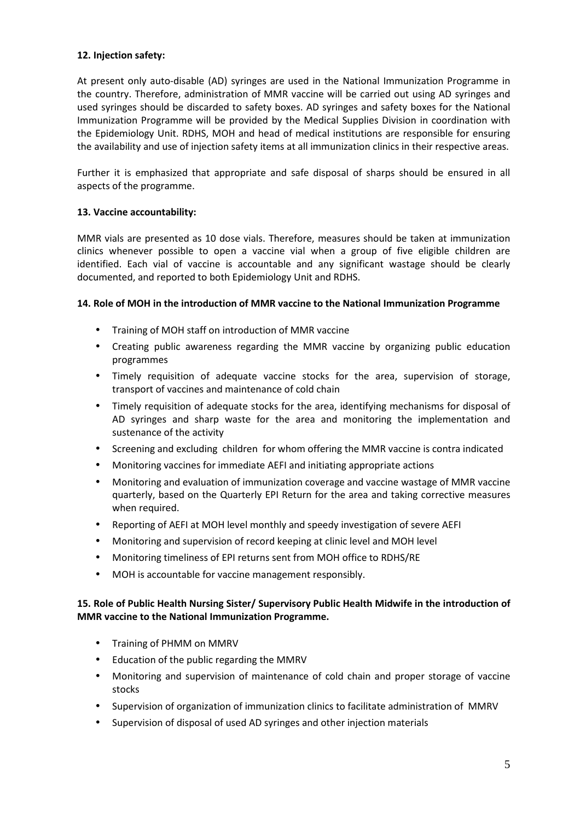## **12. Injection safety:**

At present only auto-disable (AD) syringes are used in the National Immunization Programme in the country. Therefore, administration of MMR vaccine will be carried out using AD syringes and used syringes should be discarded to safety boxes. AD syringes and safety boxes for the National Immunization Programme will be provided by the Medical Supplies Division in coordination with the Epidemiology Unit. RDHS, MOH and head of medical institutions are responsible for ensuring the availability and use of injection safety items at all immunization clinics in their respective areas.

Further it is emphasized that appropriate and safe disposal of sharps should be ensured in all aspects of the programme.

## **13. Vaccine accountability:**

MMR vials are presented as 10 dose vials. Therefore, measures should be taken at immunization clinics whenever possible to open a vaccine vial when a group of five eligible children are identified. Each vial of vaccine is accountable and any significant wastage should be clearly documented, and reported to both Epidemiology Unit and RDHS.

## **14. Role of MOH in the introduction of MMR vaccine to the National Immunization Programme**

- Training of MOH staff on introduction of MMR vaccine
- Creating public awareness regarding the MMR vaccine by organizing public education programmes
- Timely requisition of adequate vaccine stocks for the area, supervision of storage, transport of vaccines and maintenance of cold chain
- Timely requisition of adequate stocks for the area, identifying mechanisms for disposal of AD syringes and sharp waste for the area and monitoring the implementation and sustenance of the activity
- Screening and excluding children for whom offering the MMR vaccine is contra indicated
- Monitoring vaccines for immediate AEFI and initiating appropriate actions
- Monitoring and evaluation of immunization coverage and vaccine wastage of MMR vaccine quarterly, based on the Quarterly EPI Return for the area and taking corrective measures when required.
- Reporting of AEFI at MOH level monthly and speedy investigation of severe AEFI
- Monitoring and supervision of record keeping at clinic level and MOH level
- Monitoring timeliness of EPI returns sent from MOH office to RDHS/RE
- MOH is accountable for vaccine management responsibly.

## **15. Role of Public Health Nursing Sister/ Supervisory Public Health Midwife in the introduction of MMR vaccine to the National Immunization Programme.**

- Training of PHMM on MMRV
- Education of the public regarding the MMRV
- Monitoring and supervision of maintenance of cold chain and proper storage of vaccine stocks
- Supervision of organization of immunization clinics to facilitate administration of MMRV
- Supervision of disposal of used AD syringes and other injection materials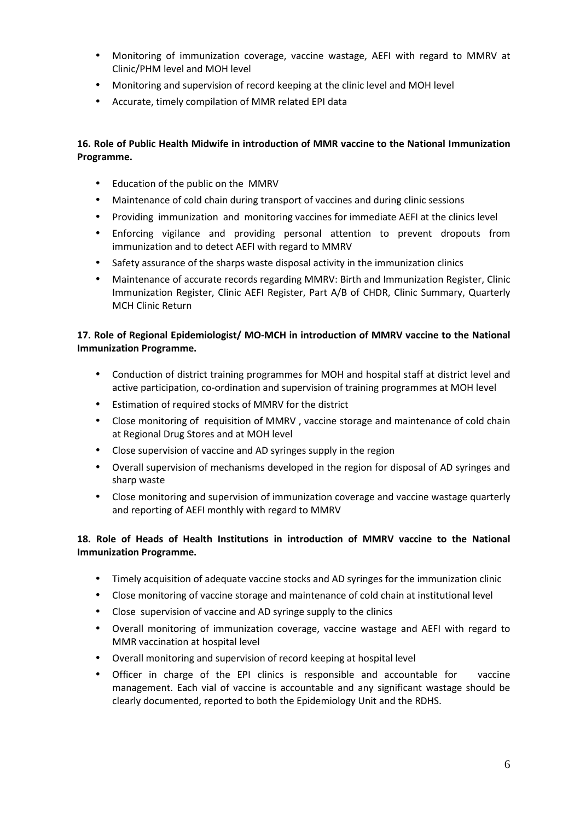- Monitoring of immunization coverage, vaccine wastage, AEFI with regard to MMRV at Clinic/PHM level and MOH level
- Monitoring and supervision of record keeping at the clinic level and MOH level
- Accurate, timely compilation of MMR related EPI data

## **16. Role of Public Health Midwife in introduction of MMR vaccine to the National Immunization Programme.**

- Education of the public on the MMRV
- Maintenance of cold chain during transport of vaccines and during clinic sessions
- Providing immunization and monitoring vaccines for immediate AEFI at the clinics level
- Enforcing vigilance and providing personal attention to prevent dropouts from immunization and to detect AEFI with regard to MMRV
- Safety assurance of the sharps waste disposal activity in the immunization clinics
- Maintenance of accurate records regarding MMRV: Birth and Immunization Register, Clinic Immunization Register, Clinic AEFI Register, Part A/B of CHDR, Clinic Summary, Quarterly MCH Clinic Return

# **17. Role of Regional Epidemiologist/ MO-MCH in introduction of MMRV vaccine to the National Immunization Programme.**

- Conduction of district training programmes for MOH and hospital staff at district level and active participation, co-ordination and supervision of training programmes at MOH level
- Estimation of required stocks of MMRV for the district
- Close monitoring of requisition of MMRV , vaccine storage and maintenance of cold chain at Regional Drug Stores and at MOH level
- Close supervision of vaccine and AD syringes supply in the region
- Overall supervision of mechanisms developed in the region for disposal of AD syringes and sharp waste
- Close monitoring and supervision of immunization coverage and vaccine wastage quarterly and reporting of AEFI monthly with regard to MMRV

# **18. Role of Heads of Health Institutions in introduction of MMRV vaccine to the National Immunization Programme.**

- Timely acquisition of adequate vaccine stocks and AD syringes for the immunization clinic
- Close monitoring of vaccine storage and maintenance of cold chain at institutional level
- Close supervision of vaccine and AD syringe supply to the clinics
- Overall monitoring of immunization coverage, vaccine wastage and AEFI with regard to MMR vaccination at hospital level
- Overall monitoring and supervision of record keeping at hospital level
- Officer in charge of the EPI clinics is responsible and accountable for vaccine management. Each vial of vaccine is accountable and any significant wastage should be clearly documented, reported to both the Epidemiology Unit and the RDHS.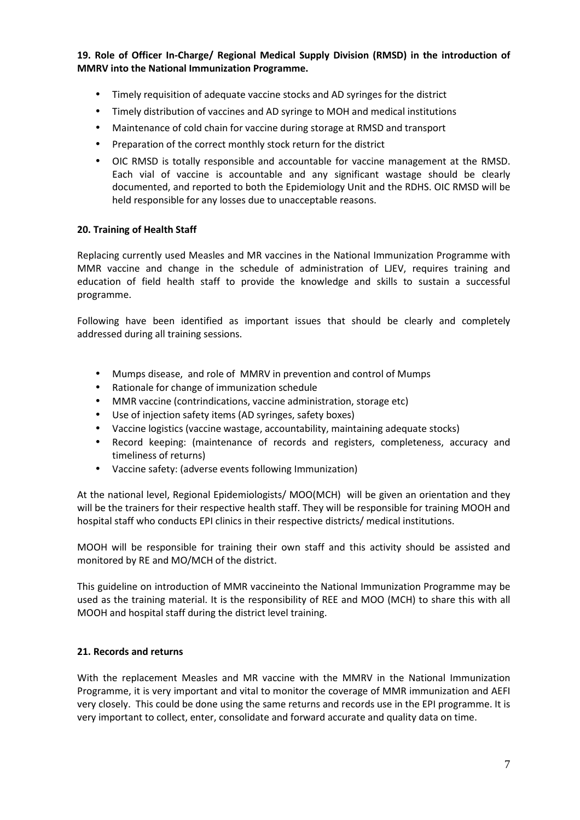**19. Role of Officer In-Charge/ Regional Medical Supply Division (RMSD) in the introduction of MMRV into the National Immunization Programme.** 

- Timely requisition of adequate vaccine stocks and AD syringes for the district
- Timely distribution of vaccines and AD syringe to MOH and medical institutions
- Maintenance of cold chain for vaccine during storage at RMSD and transport
- Preparation of the correct monthly stock return for the district
- OIC RMSD is totally responsible and accountable for vaccine management at the RMSD. Each vial of vaccine is accountable and any significant wastage should be clearly documented, and reported to both the Epidemiology Unit and the RDHS. OIC RMSD will be held responsible for any losses due to unacceptable reasons.

#### **20. Training of Health Staff**

Replacing currently used Measles and MR vaccines in the National Immunization Programme with MMR vaccine and change in the schedule of administration of LJEV, requires training and education of field health staff to provide the knowledge and skills to sustain a successful programme.

Following have been identified as important issues that should be clearly and completely addressed during all training sessions.

- Mumps disease, and role of MMRV in prevention and control of Mumps
- Rationale for change of immunization schedule
- MMR vaccine (contrindications, vaccine administration, storage etc)
- Use of injection safety items (AD syringes, safety boxes)
- Vaccine logistics (vaccine wastage, accountability, maintaining adequate stocks)
- Record keeping: (maintenance of records and registers, completeness, accuracy and timeliness of returns)
- Vaccine safety: (adverse events following Immunization)

At the national level, Regional Epidemiologists/ MOO(MCH) will be given an orientation and they will be the trainers for their respective health staff. They will be responsible for training MOOH and hospital staff who conducts EPI clinics in their respective districts/ medical institutions.

MOOH will be responsible for training their own staff and this activity should be assisted and monitored by RE and MO/MCH of the district.

This guideline on introduction of MMR vaccineinto the National Immunization Programme may be used as the training material. It is the responsibility of REE and MOO (MCH) to share this with all MOOH and hospital staff during the district level training.

#### **21. Records and returns**

With the replacement Measles and MR vaccine with the MMRV in the National Immunization Programme, it is very important and vital to monitor the coverage of MMR immunization and AEFI very closely. This could be done using the same returns and records use in the EPI programme. It is very important to collect, enter, consolidate and forward accurate and quality data on time.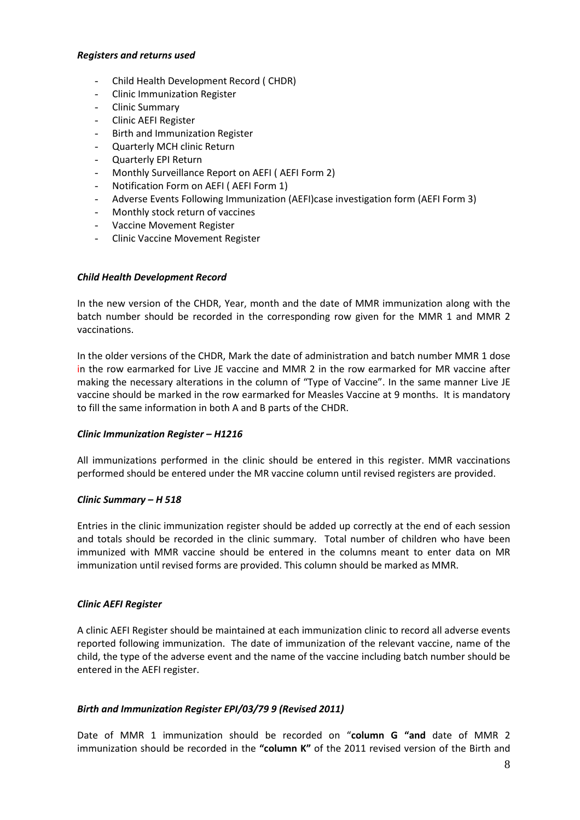#### *Registers and returns used*

- Child Health Development Record ( CHDR)
- Clinic Immunization Register
- Clinic Summary
- Clinic AEFI Register
- Birth and Immunization Register
- Quarterly MCH clinic Return
- Quarterly EPI Return
- Monthly Surveillance Report on AEFI (AEFI Form 2)
- Notification Form on AEFI ( AEFI Form 1)
- Adverse Events Following Immunization (AEFI)case investigation form (AEFI Form 3)
- Monthly stock return of vaccines
- Vaccine Movement Register
- Clinic Vaccine Movement Register

#### *Child Health Development Record*

In the new version of the CHDR, Year, month and the date of MMR immunization along with the batch number should be recorded in the corresponding row given for the MMR 1 and MMR 2 vaccinations.

In the older versions of the CHDR, Mark the date of administration and batch number MMR 1 dose in the row earmarked for Live JE vaccine and MMR 2 in the row earmarked for MR vaccine after making the necessary alterations in the column of "Type of Vaccine". In the same manner Live JE vaccine should be marked in the row earmarked for Measles Vaccine at 9 months. It is mandatory to fill the same information in both A and B parts of the CHDR.

#### *Clinic Immunization Register – H1216*

All immunizations performed in the clinic should be entered in this register. MMR vaccinations performed should be entered under the MR vaccine column until revised registers are provided.

#### *Clinic Summary – H 518*

Entries in the clinic immunization register should be added up correctly at the end of each session and totals should be recorded in the clinic summary. Total number of children who have been immunized with MMR vaccine should be entered in the columns meant to enter data on MR immunization until revised forms are provided. This column should be marked as MMR.

#### *Clinic AEFI Register*

A clinic AEFI Register should be maintained at each immunization clinic to record all adverse events reported following immunization. The date of immunization of the relevant vaccine, name of the child, the type of the adverse event and the name of the vaccine including batch number should be entered in the AEFI register.

#### *Birth and Immunization Register EPI/03/79 9 (Revised 2011)*

Date of MMR 1 immunization should be recorded on "**column G "and** date of MMR 2 immunization should be recorded in the **"column K"** of the 2011 revised version of the Birth and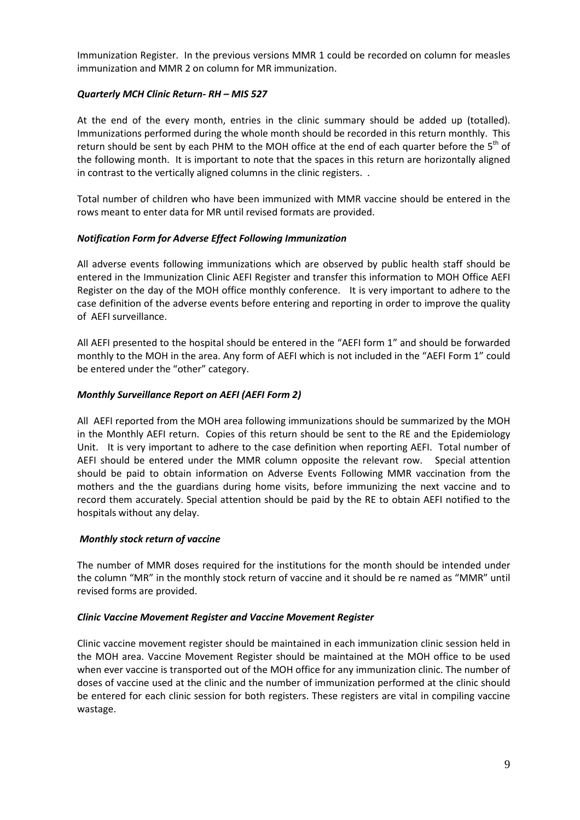Immunization Register. In the previous versions MMR 1 could be recorded on column for measles immunization and MMR 2 on column for MR immunization.

## *Quarterly MCH Clinic Return- RH – MIS 527*

At the end of the every month, entries in the clinic summary should be added up (totalled). Immunizations performed during the whole month should be recorded in this return monthly. This return should be sent by each PHM to the MOH office at the end of each quarter before the  $5<sup>th</sup>$  of the following month. It is important to note that the spaces in this return are horizontally aligned in contrast to the vertically aligned columns in the clinic registers. .

Total number of children who have been immunized with MMR vaccine should be entered in the rows meant to enter data for MR until revised formats are provided.

## *Notification Form for Adverse Effect Following Immunization*

All adverse events following immunizations which are observed by public health staff should be entered in the Immunization Clinic AEFI Register and transfer this information to MOH Office AEFI Register on the day of the MOH office monthly conference. It is very important to adhere to the case definition of the adverse events before entering and reporting in order to improve the quality of AEFI surveillance.

All AEFI presented to the hospital should be entered in the "AEFI form 1" and should be forwarded monthly to the MOH in the area. Any form of AEFI which is not included in the "AEFI Form 1" could be entered under the "other" category.

## *Monthly Surveillance Report on AEFI (AEFI Form 2)*

All AEFI reported from the MOH area following immunizations should be summarized by the MOH in the Monthly AEFI return. Copies of this return should be sent to the RE and the Epidemiology Unit. It is very important to adhere to the case definition when reporting AEFI. Total number of AEFI should be entered under the MMR column opposite the relevant row. Special attention should be paid to obtain information on Adverse Events Following MMR vaccination from the mothers and the the guardians during home visits, before immunizing the next vaccine and to record them accurately. Special attention should be paid by the RE to obtain AEFI notified to the hospitals without any delay.

#### *Monthly stock return of vaccine*

The number of MMR doses required for the institutions for the month should be intended under the column "MR" in the monthly stock return of vaccine and it should be re named as "MMR" until revised forms are provided.

#### *Clinic Vaccine Movement Register and Vaccine Movement Register*

Clinic vaccine movement register should be maintained in each immunization clinic session held in the MOH area. Vaccine Movement Register should be maintained at the MOH office to be used when ever vaccine is transported out of the MOH office for any immunization clinic. The number of doses of vaccine used at the clinic and the number of immunization performed at the clinic should be entered for each clinic session for both registers. These registers are vital in compiling vaccine wastage.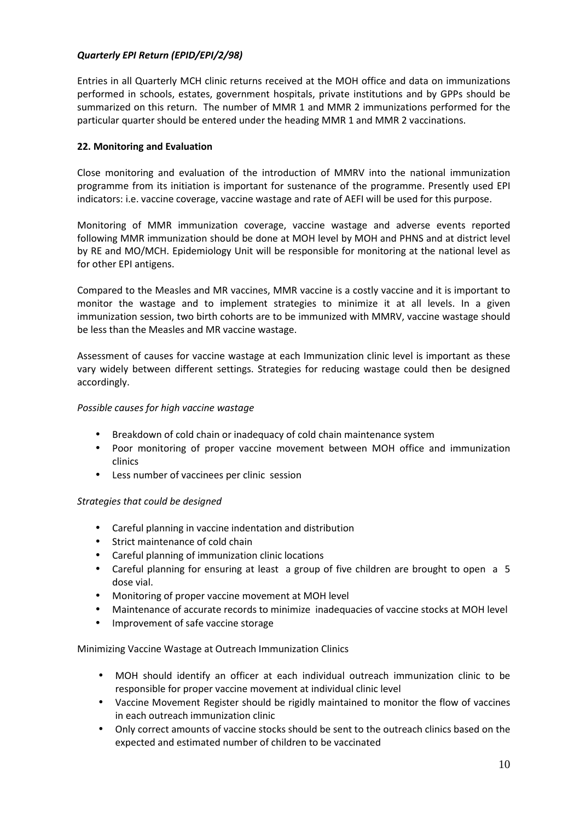## *Quarterly EPI Return (EPID/EPI/2/98)*

Entries in all Quarterly MCH clinic returns received at the MOH office and data on immunizations performed in schools, estates, government hospitals, private institutions and by GPPs should be summarized on this return. The number of MMR 1 and MMR 2 immunizations performed for the particular quarter should be entered under the heading MMR 1 and MMR 2 vaccinations.

## **22. Monitoring and Evaluation**

Close monitoring and evaluation of the introduction of MMRV into the national immunization programme from its initiation is important for sustenance of the programme. Presently used EPI indicators: i.e. vaccine coverage, vaccine wastage and rate of AEFI will be used for this purpose.

Monitoring of MMR immunization coverage, vaccine wastage and adverse events reported following MMR immunization should be done at MOH level by MOH and PHNS and at district level by RE and MO/MCH. Epidemiology Unit will be responsible for monitoring at the national level as for other EPI antigens.

Compared to the Measles and MR vaccines, MMR vaccine is a costly vaccine and it is important to monitor the wastage and to implement strategies to minimize it at all levels. In a given immunization session, two birth cohorts are to be immunized with MMRV, vaccine wastage should be less than the Measles and MR vaccine wastage.

Assessment of causes for vaccine wastage at each Immunization clinic level is important as these vary widely between different settings. Strategies for reducing wastage could then be designed accordingly.

## *Possible causes for high vaccine wastage*

- Breakdown of cold chain or inadequacy of cold chain maintenance system
- Poor monitoring of proper vaccine movement between MOH office and immunization clinics
- Less number of vaccinees per clinic session

## *Strategies that could be designed*

- Careful planning in vaccine indentation and distribution
- Strict maintenance of cold chain
- Careful planning of immunization clinic locations
- Careful planning for ensuring at least a group of five children are brought to open a 5 dose vial.
- Monitoring of proper vaccine movement at MOH level
- Maintenance of accurate records to minimize inadequacies of vaccine stocks at MOH level
- Improvement of safe vaccine storage

## Minimizing Vaccine Wastage at Outreach Immunization Clinics

- MOH should identify an officer at each individual outreach immunization clinic to be responsible for proper vaccine movement at individual clinic level
- Vaccine Movement Register should be rigidly maintained to monitor the flow of vaccines in each outreach immunization clinic
- Only correct amounts of vaccine stocks should be sent to the outreach clinics based on the expected and estimated number of children to be vaccinated